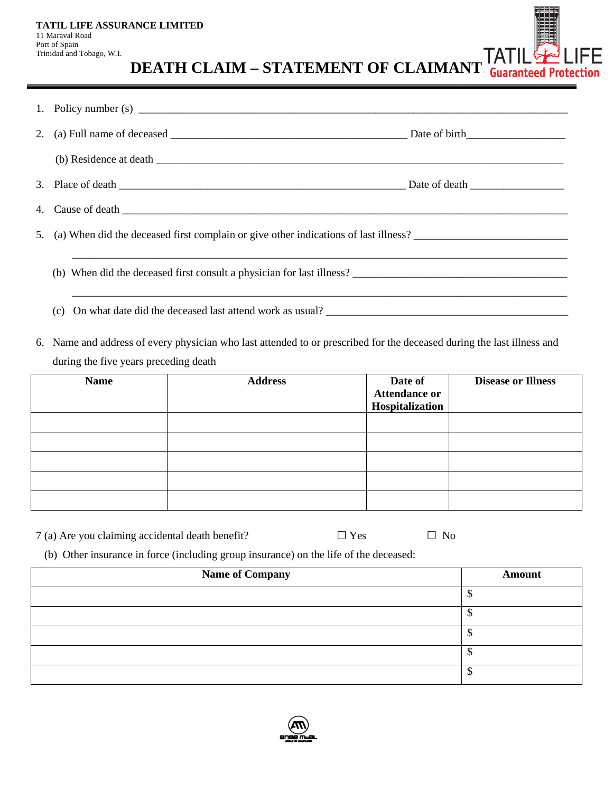| TATIL LIFE ASSURANCE LIMITED |
|------------------------------|
| 11 Maraval Road              |
| Port of Spain                |
| Trinidad and Tobago, W.I.    |

**IFE DEATH CLAIM DEATH CLAIM – STATEMENT OF CLAIMANT**

|    |                                                                                                                                       | <b>DEATH CLAIM - STATEMENT OF CLAIMANT Guaranteed Proto</b>                                                            |            |                                                    |                           |  |  |  |
|----|---------------------------------------------------------------------------------------------------------------------------------------|------------------------------------------------------------------------------------------------------------------------|------------|----------------------------------------------------|---------------------------|--|--|--|
| 1. |                                                                                                                                       |                                                                                                                        |            |                                                    |                           |  |  |  |
| 2. |                                                                                                                                       |                                                                                                                        |            |                                                    |                           |  |  |  |
|    |                                                                                                                                       |                                                                                                                        |            |                                                    |                           |  |  |  |
| 3. |                                                                                                                                       |                                                                                                                        |            |                                                    |                           |  |  |  |
| 4. |                                                                                                                                       |                                                                                                                        |            |                                                    |                           |  |  |  |
| 5. |                                                                                                                                       |                                                                                                                        |            |                                                    |                           |  |  |  |
|    | (b) When did the deceased first consult a physician for last illness?<br>(c) On what date did the deceased last attend work as usual? |                                                                                                                        |            |                                                    |                           |  |  |  |
|    |                                                                                                                                       | 6. Name and address of every physician who last attended to or prescribed for the deceased during the last illness and |            |                                                    |                           |  |  |  |
|    | during the five years preceding death                                                                                                 |                                                                                                                        |            |                                                    |                           |  |  |  |
|    | <b>Name</b>                                                                                                                           | <b>Address</b>                                                                                                         |            | Date of<br><b>Attendance or</b><br>Hospitalization | <b>Disease or Illness</b> |  |  |  |
|    |                                                                                                                                       |                                                                                                                        |            |                                                    |                           |  |  |  |
|    |                                                                                                                                       |                                                                                                                        |            |                                                    |                           |  |  |  |
|    |                                                                                                                                       |                                                                                                                        |            |                                                    |                           |  |  |  |
|    |                                                                                                                                       |                                                                                                                        |            |                                                    |                           |  |  |  |
|    | 7 (a) Are you claiming accidental death benefit?                                                                                      |                                                                                                                        | $\Box$ Yes | $\Box$ No                                          |                           |  |  |  |
|    |                                                                                                                                       | (b) Other insurance in force (including group insurance) on the life of the deceased:                                  |            |                                                    |                           |  |  |  |
|    |                                                                                                                                       | <b>Name of Company</b>                                                                                                 |            |                                                    | <b>Amount</b>             |  |  |  |

| <b>Name</b> | <b>Address</b> | Date of<br><b>Attendance or</b><br>Hospitalization | <b>Disease or Illness</b> |
|-------------|----------------|----------------------------------------------------|---------------------------|
|             |                |                                                    |                           |
|             |                |                                                    |                           |
|             |                |                                                    |                           |
|             |                |                                                    |                           |
|             |                |                                                    |                           |

| Name of Company | <b>Amount</b> |
|-----------------|---------------|
|                 |               |
|                 |               |
|                 |               |
|                 |               |
|                 |               |